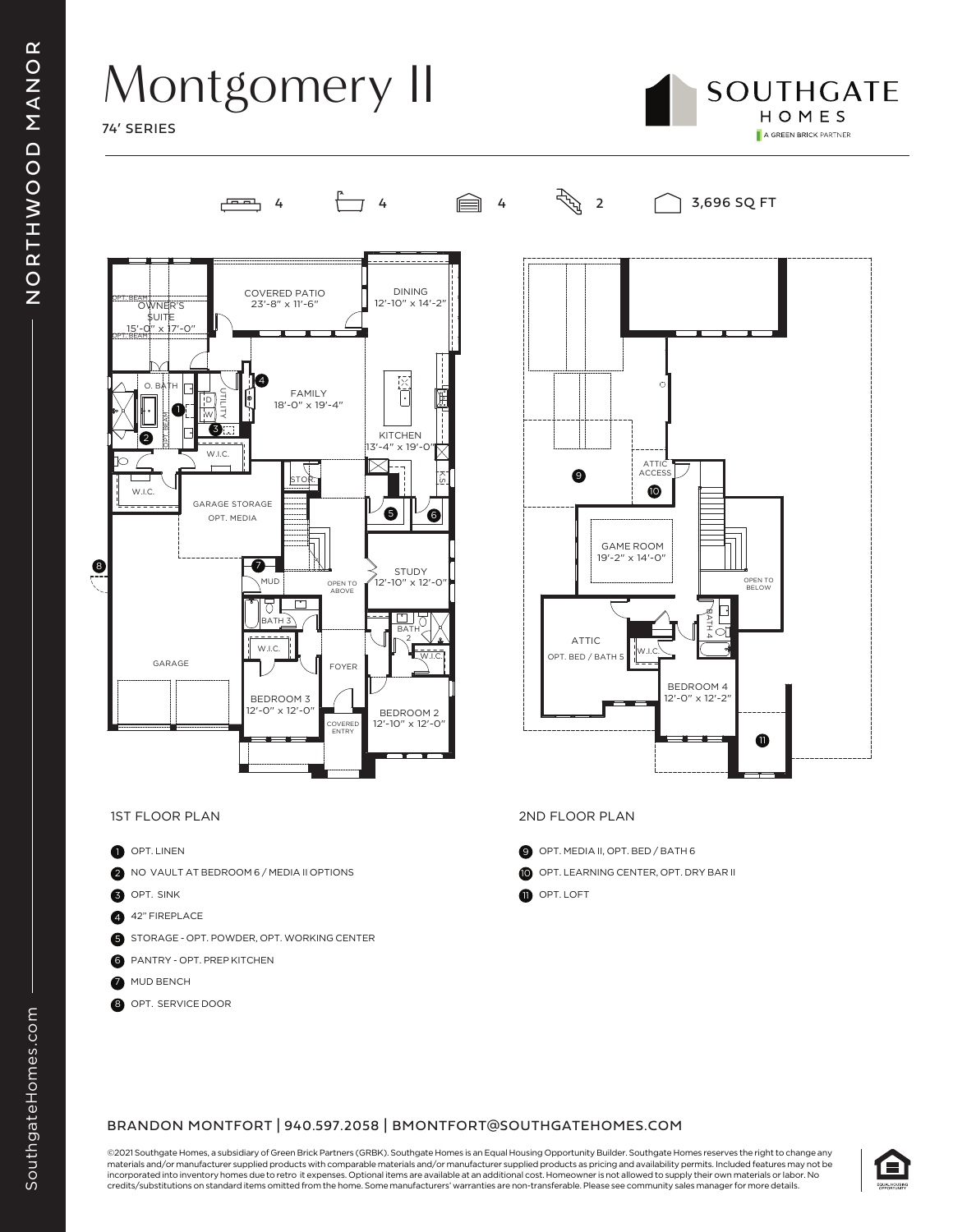## Montgomery II

74' SERIES







- 1 OPT. LINEN
- 2 NO VAULT AT BEDROOM 6 / MEDIA II OPTIONS
- 3 OPT. SINK
- 4 42" FIREPLACE
- 5 STORAGE OPT. POWDER, OPT. WORKING CENTER
- **6** PANTRY OPT. PREP KITCHEN
- **2** MUD BENCH
- **8** OPT. SERVICE DOOR



### 1ST FLOOR PLAN 2ND FLOOR PLAN

- 9 OPT. MEDIA II, OPT. BED / BATH 6
- 10 OPT. LEARNING CENTER, OPT. DRY BAR II
- **1** OPT. LOFT

#### BRANDON MONTFORT | 940.597.2058 | BMONTFORT@SOUTHGATEHOMES.COM

©2021 Southgate Homes, a subsidiary of Green Brick Partners (GRBK). Southgate Homes is an Equal Housing Opportunity Builder. Southgate Homes reserves the right to change any materials and/or manufacturer supplied products with comparable materials and/or manufacturer supplied products as pricing and availability permits. Included features may not be incorporated into inventory homes due to retro it expenses. Optional items are available at an additional cost. Homeowner is not allowed to supply their own materials or labor. No credits/substitutions on standard items omitted from the home. Some manufacturers' warranties are non-transferable. Please see community sales manager for more details.